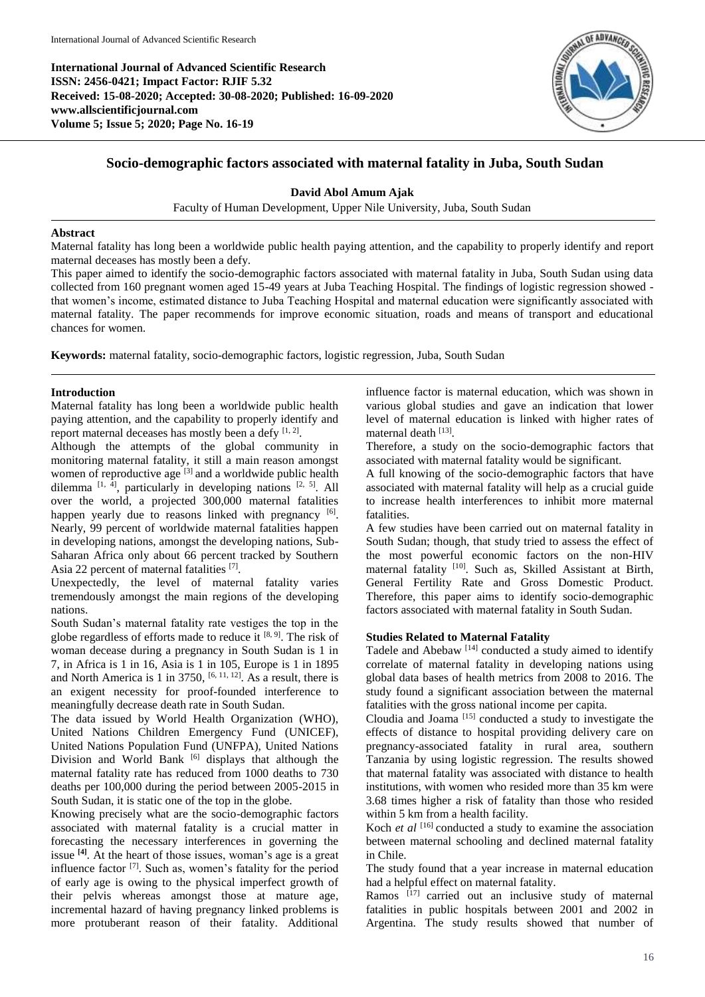**International Journal of Advanced Scientific Research ISSN: 2456-0421; Impact Factor: RJIF 5.32 Received: 15-08-2020; Accepted: 30-08-2020; Published: 16-09-2020 www.allscientificjournal.com Volume 5; Issue 5; 2020; Page No. 16-19**



# **Socio-demographic factors associated with maternal fatality in Juba, South Sudan**

# **David Abol Amum Ajak**

Faculty of Human Development, Upper Nile University, Juba, South Sudan

# **Abstract**

Maternal fatality has long been a worldwide public health paying attention, and the capability to properly identify and report maternal deceases has mostly been a defy.

This paper aimed to identify the socio-demographic factors associated with maternal fatality in Juba, South Sudan using data collected from 160 pregnant women aged 15-49 years at Juba Teaching Hospital. The findings of logistic regression showed that women's income, estimated distance to Juba Teaching Hospital and maternal education were significantly associated with maternal fatality. The paper recommends for improve economic situation, roads and means of transport and educational chances for women.

**Keywords:** maternal fatality, socio-demographic factors, logistic regression, Juba, South Sudan

# **Introduction**

Maternal fatality has long been a worldwide public health paying attention, and the capability to properly identify and report maternal deceases has mostly been a defy [1, 2].

Although the attempts of the global community in monitoring maternal fatality, it still a main reason amongst women of reproductive age <sup>[3]</sup> and a worldwide public health dilemma  $[1, 4]$ , particularly in developing nations  $[2, 5]$ . All over the world, a projected 300,000 maternal fatalities happen yearly due to reasons linked with pregnancy [6]. Nearly, 99 percent of worldwide maternal fatalities happen in developing nations, amongst the developing nations, Sub-Saharan Africa only about 66 percent tracked by Southern Asia 22 percent of maternal fatalities [7].

Unexpectedly, the level of maternal fatality varies tremendously amongst the main regions of the developing nations.

South Sudan's maternal fatality rate vestiges the top in the globe regardless of efforts made to reduce it [8, 9]. The risk of woman decease during a pregnancy in South Sudan is 1 in 7, in Africa is 1 in 16, Asia is 1 in 105, Europe is 1 in 1895 and North America is 1 in 3750,  $[6, 11, 12]$ . As a result, there is an exigent necessity for proof-founded interference to meaningfully decrease death rate in South Sudan.

The data issued by World Health Organization (WHO), United Nations Children Emergency Fund (UNICEF), United Nations Population Fund (UNFPA), United Nations Division and World Bank [6] displays that although the maternal fatality rate has reduced from 1000 deaths to 730 deaths per 100,000 during the period between 2005-2015 in South Sudan, it is static one of the top in the globe.

Knowing precisely what are the socio-demographic factors associated with maternal fatality is a crucial matter in forecasting the necessary interferences in governing the issue **[4]** . At the heart of those issues, woman's age is a great influence factor  $[7]$ . Such as, women's fatality for the period of early age is owing to the physical imperfect growth of their pelvis whereas amongst those at mature age, incremental hazard of having pregnancy linked problems is more protuberant reason of their fatality. Additional

influence factor is maternal education, which was shown in various global studies and gave an indication that lower level of maternal education is linked with higher rates of maternal death [13].

Therefore, a study on the socio-demographic factors that associated with maternal fatality would be significant.

A full knowing of the socio-demographic factors that have associated with maternal fatality will help as a crucial guide to increase health interferences to inhibit more maternal fatalities.

A few studies have been carried out on maternal fatality in South Sudan; though, that study tried to assess the effect of the most powerful economic factors on the non-HIV maternal fatality <sup>[10]</sup>. Such as, Skilled Assistant at Birth, General Fertility Rate and Gross Domestic Product. Therefore, this paper aims to identify socio-demographic factors associated with maternal fatality in South Sudan.

### **Studies Related to Maternal Fatality**

Tadele and Abebaw [14] conducted a study aimed to identify correlate of maternal fatality in developing nations using global data bases of health metrics from 2008 to 2016. The study found a significant association between the maternal fatalities with the gross national income per capita.

Cloudia and Joama [15] conducted a study to investigate the effects of distance to hospital providing delivery care on pregnancy-associated fatality in rural area, southern Tanzania by using logistic regression. The results showed that maternal fatality was associated with distance to health institutions, with women who resided more than 35 km were 3.68 times higher a risk of fatality than those who resided within 5 km from a health facility.

Koch *et al* <sup>[16]</sup> conducted a study to examine the association between maternal schooling and declined maternal fatality in Chile.

The study found that a year increase in maternal education had a helpful effect on maternal fatality.

Ramos  $[17]$  carried out an inclusive study of maternal fatalities in public hospitals between 2001 and 2002 in Argentina. The study results showed that number of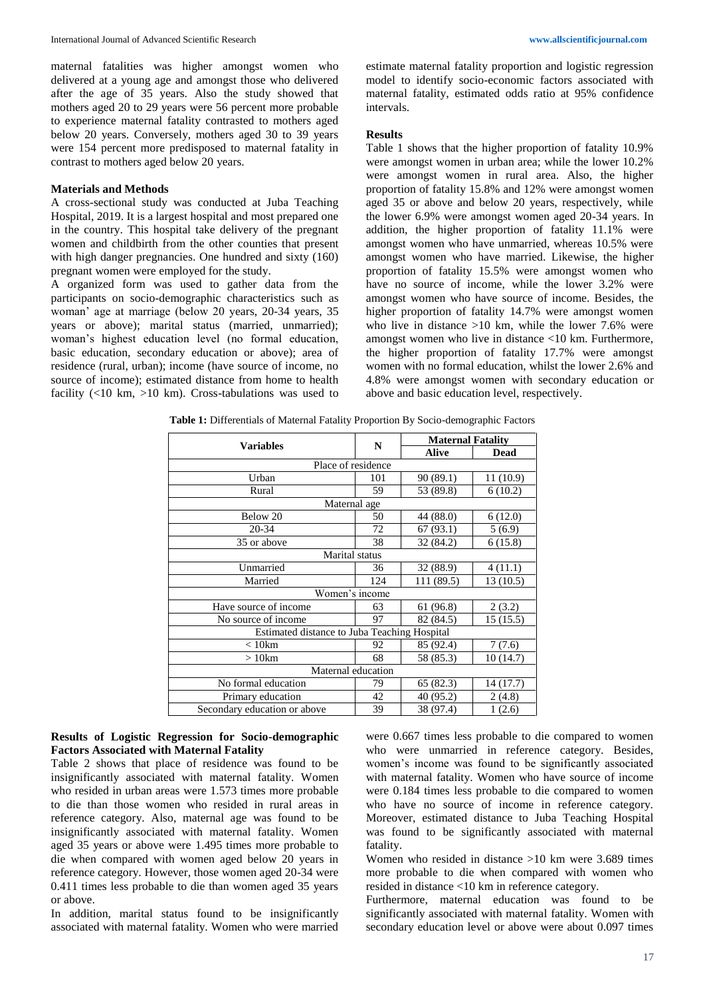maternal fatalities was higher amongst women who delivered at a young age and amongst those who delivered after the age of 35 years. Also the study showed that mothers aged 20 to 29 years were 56 percent more probable to experience maternal fatality contrasted to mothers aged below 20 years. Conversely, mothers aged 30 to 39 years were 154 percent more predisposed to maternal fatality in contrast to mothers aged below 20 years.

# **Materials and Methods**

A cross-sectional study was conducted at Juba Teaching Hospital, 2019. It is a largest hospital and most prepared one in the country. This hospital take delivery of the pregnant women and childbirth from the other counties that present with high danger pregnancies. One hundred and sixty (160) pregnant women were employed for the study.

A organized form was used to gather data from the participants on socio-demographic characteristics such as woman' age at marriage (below 20 years, 20-34 years, 35 years or above); marital status (married, unmarried); woman's highest education level (no formal education, basic education, secondary education or above); area of residence (rural, urban); income (have source of income, no source of income); estimated distance from home to health facility  $($ <10 km, >10 km). Cross-tabulations was used to

estimate maternal fatality proportion and logistic regression model to identify socio-economic factors associated with maternal fatality, estimated odds ratio at 95% confidence intervals.

#### **Results**

Table 1 shows that the higher proportion of fatality 10.9% were amongst women in urban area; while the lower 10.2% were amongst women in rural area. Also, the higher proportion of fatality 15.8% and 12% were amongst women aged 35 or above and below 20 years, respectively, while the lower 6.9% were amongst women aged 20-34 years. In addition, the higher proportion of fatality 11.1% were amongst women who have unmarried, whereas 10.5% were amongst women who have married. Likewise, the higher proportion of fatality 15.5% were amongst women who have no source of income, while the lower 3.2% were amongst women who have source of income. Besides, the higher proportion of fatality 14.7% were amongst women who live in distance  $>10$  km, while the lower 7.6% were amongst women who live in distance <10 km. Furthermore, the higher proportion of fatality 17.7% were amongst women with no formal education, whilst the lower 2.6% and 4.8% were amongst women with secondary education or above and basic education level, respectively.

**Table 1:** Differentials of Maternal Fatality Proportion By Socio-demographic Factors

|                                              |     | <b>Maternal Fatality</b> |             |  |  |  |  |  |
|----------------------------------------------|-----|--------------------------|-------------|--|--|--|--|--|
| <b>Variables</b>                             | N   | Alive                    | <b>Dead</b> |  |  |  |  |  |
| Place of residence                           |     |                          |             |  |  |  |  |  |
| Urban                                        | 101 | 90 (89.1)                | 11(10.9)    |  |  |  |  |  |
| Rural                                        | 59  | 53 (89.8)                | 6(10.2)     |  |  |  |  |  |
| Maternal age                                 |     |                          |             |  |  |  |  |  |
| Below 20                                     | 50  | 44 (88.0)                | 6(12.0)     |  |  |  |  |  |
| 20-34                                        | 72  | 67(93.1)                 | 5(6.9)      |  |  |  |  |  |
| 35 or above                                  | 38  | 32 (84.2)                | 6(15.8)     |  |  |  |  |  |
| Marital status                               |     |                          |             |  |  |  |  |  |
| Unmarried                                    | 36  | 32 (88.9)                | 4(11.1)     |  |  |  |  |  |
| Married                                      | 124 | 111 (89.5)               | 13(10.5)    |  |  |  |  |  |
| Women's income                               |     |                          |             |  |  |  |  |  |
| Have source of income                        | 63  | 61 (96.8)                | 2(3.2)      |  |  |  |  |  |
| No source of income                          | 97  | 82 (84.5)                | 15(15.5)    |  |  |  |  |  |
| Estimated distance to Juba Teaching Hospital |     |                          |             |  |  |  |  |  |
| $< 10$ km                                    | 92  | 85 (92.4)                | 7(7.6)      |  |  |  |  |  |
| $>10$ km                                     | 68  | 58 (85.3)                | 10(14.7)    |  |  |  |  |  |
| Maternal education                           |     |                          |             |  |  |  |  |  |
| No formal education                          | 79  | 65 (82.3)                | 14 (17.7)   |  |  |  |  |  |
| Primary education                            | 42  | 40 (95.2)                | 2(4.8)      |  |  |  |  |  |
| Secondary education or above                 | 39  | 38 (97.4)                | 1(2.6)      |  |  |  |  |  |

## **Results of Logistic Regression for Socio-demographic Factors Associated with Maternal Fatality**

Table 2 shows that place of residence was found to be insignificantly associated with maternal fatality. Women who resided in urban areas were 1.573 times more probable to die than those women who resided in rural areas in reference category. Also, maternal age was found to be insignificantly associated with maternal fatality. Women aged 35 years or above were 1.495 times more probable to die when compared with women aged below 20 years in reference category. However, those women aged 20-34 were 0.411 times less probable to die than women aged 35 years or above.

In addition, marital status found to be insignificantly associated with maternal fatality. Women who were married

were 0.667 times less probable to die compared to women who were unmarried in reference category. Besides, women's income was found to be significantly associated with maternal fatality. Women who have source of income were 0.184 times less probable to die compared to women who have no source of income in reference category. Moreover, estimated distance to Juba Teaching Hospital was found to be significantly associated with maternal fatality.

Women who resided in distance >10 km were 3.689 times more probable to die when compared with women who resided in distance <10 km in reference category.

Furthermore, maternal education was found to be significantly associated with maternal fatality. Women with secondary education level or above were about 0.097 times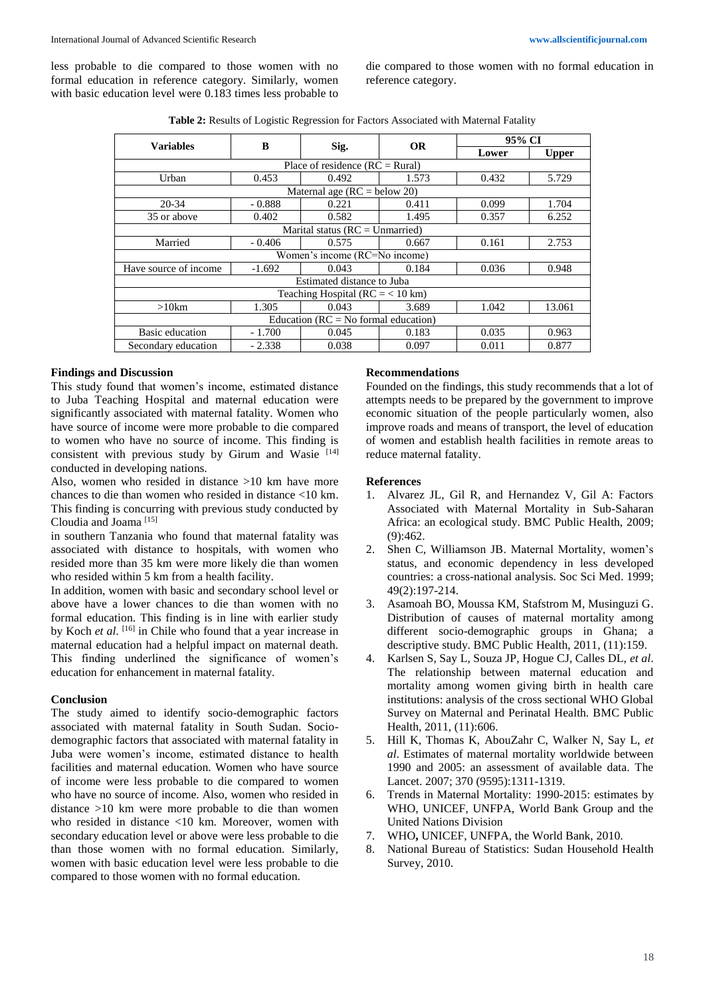less probable to die compared to those women with no formal education in reference category. Similarly, women with basic education level were 0.183 times less probable to die compared to those women with no formal education in reference category.

| <b>Table 2:</b> Results of Logistic Regression for Factors Associated with Maternal Fatality |  |
|----------------------------------------------------------------------------------------------|--|
|----------------------------------------------------------------------------------------------|--|

| <b>Variables</b>                        | B        | Sig.  | <b>OR</b> | 95% CI |              |  |  |
|-----------------------------------------|----------|-------|-----------|--------|--------------|--|--|
|                                         |          |       |           | Lower  | <b>Upper</b> |  |  |
| Place of residence $(RC = Rural)$       |          |       |           |        |              |  |  |
| Urban                                   | 0.453    | 0.492 | 1.573     | 0.432  | 5.729        |  |  |
| Maternal age ( $RC =$ below 20)         |          |       |           |        |              |  |  |
| $20 - 34$                               | $-0.888$ | 0.221 | 0.411     | 0.099  | 1.704        |  |  |
| 35 or above                             | 0.402    | 0.582 | 1.495     | 0.357  | 6.252        |  |  |
| Marital status ( $RC = Ummarried$ )     |          |       |           |        |              |  |  |
| Married                                 | $-0.406$ | 0.575 | 0.667     | 0.161  | 2.753        |  |  |
| Women's income (RC=No income)           |          |       |           |        |              |  |  |
| Have source of income                   | $-1.692$ | 0.043 | 0.184     | 0.036  | 0.948        |  |  |
| Estimated distance to Juba              |          |       |           |        |              |  |  |
| Teaching Hospital ( $RC = < 10$ km)     |          |       |           |        |              |  |  |
| $>10$ km                                | 1.305    | 0.043 | 3.689     | 1.042  | 13.061       |  |  |
| Education ( $RC = No$ formal education) |          |       |           |        |              |  |  |
| Basic education                         | $-1.700$ | 0.045 | 0.183     | 0.035  | 0.963        |  |  |
| Secondary education                     | $-2.338$ | 0.038 | 0.097     | 0.011  | 0.877        |  |  |

## **Findings and Discussion**

This study found that women's income, estimated distance to Juba Teaching Hospital and maternal education were significantly associated with maternal fatality. Women who have source of income were more probable to die compared to women who have no source of income. This finding is consistent with previous study by Girum and Wasie [14] conducted in developing nations.

Also, women who resided in distance >10 km have more chances to die than women who resided in distance <10 km. This finding is concurring with previous study conducted by Cloudia and Joama [15]

in southern Tanzania who found that maternal fatality was associated with distance to hospitals, with women who resided more than 35 km were more likely die than women who resided within 5 km from a health facility.

In addition, women with basic and secondary school level or above have a lower chances to die than women with no formal education. This finding is in line with earlier study by Koch *et al*. [16] in Chile who found that a year increase in maternal education had a helpful impact on maternal death. This finding underlined the significance of women's education for enhancement in maternal fatality.

#### **Conclusion**

The study aimed to identify socio-demographic factors associated with maternal fatality in South Sudan. Sociodemographic factors that associated with maternal fatality in Juba were women's income, estimated distance to health facilities and maternal education. Women who have source of income were less probable to die compared to women who have no source of income. Also, women who resided in distance >10 km were more probable to die than women who resided in distance <10 km. Moreover, women with secondary education level or above were less probable to die than those women with no formal education. Similarly, women with basic education level were less probable to die compared to those women with no formal education.

# **Recommendations**

Founded on the findings, this study recommends that a lot of attempts needs to be prepared by the government to improve economic situation of the people particularly women, also improve roads and means of transport, the level of education of women and establish health facilities in remote areas to reduce maternal fatality.

### **References**

- 1. Alvarez JL, Gil R, and Hernandez V, Gil A: Factors Associated with Maternal Mortality in Sub-Saharan Africa: an ecological study. BMC Public Health, 2009; (9):462.
- 2. Shen C, Williamson JB. Maternal Mortality, women's status, and economic dependency in less developed countries: a cross-national analysis. Soc Sci Med. 1999; 49(2):197-214.
- 3. Asamoah BO, Moussa KM, Stafstrom M, Musinguzi G. Distribution of causes of maternal mortality among different socio-demographic groups in Ghana; a descriptive study. BMC Public Health, 2011, (11):159.
- 4. Karlsen S, Say L, Souza JP, Hogue CJ, Calles DL, *et al*. The relationship between maternal education and mortality among women giving birth in health care institutions: analysis of the cross sectional WHO Global Survey on Maternal and Perinatal Health. BMC Public Health, 2011, (11):606.
- 5. Hill K, Thomas K, AbouZahr C, Walker N, Say L, *et al*. Estimates of maternal mortality worldwide between 1990 and 2005: an assessment of available data. The Lancet. 2007; 370 (9595):1311-1319.
- 6. Trends in Maternal Mortality: 1990-2015: estimates by WHO, UNICEF, UNFPA, World Bank Group and the United Nations Division
- 7. WHO**,** UNICEF, UNFPA, the World Bank, 2010.
- 8. National Bureau of Statistics: Sudan Household Health Survey, 2010.